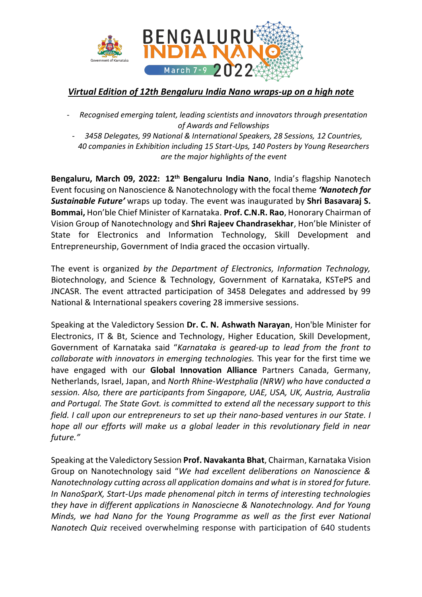

## *Virtual Edition of 12th Bengaluru India Nano wraps-up on a high note*

- *Recognised emerging talent, leading scientists and innovators through presentation of Awards and Fellowships*
- *3458 Delegates, 99 National & International Speakers, 28 Sessions, 12 Countries, 40 companies in Exhibition including 15 Start-Ups, 140 Posters by Young Researchers are the major highlights of the event*

**Bengaluru, March 09, 2022: 12th Bengaluru India Nano**, India's flagship Nanotech Event focusing on Nanoscience & Nanotechnology with the focal theme *'Nanotech for Sustainable Future'* wraps up today. The event was inaugurated by **Shri Basavaraj S. Bommai,** Hon'ble Chief Minister of Karnataka. **Prof. C.N.R. Rao**, Honorary Chairman of Vision Group of Nanotechnology and **Shri Rajeev Chandrasekhar**, Hon'ble Minister of State for Electronics and Information Technology, Skill Development and Entrepreneurship, Government of India graced the occasion virtually.

The event is organized *by the Department of Electronics, Information Technology,*  Biotechnology, and Science & Technology, Government of Karnataka, KSTePS and JNCASR. The event attracted participation of 3458 Delegates and addressed by 99 National & International speakers covering 28 immersive sessions.

Speaking at the Valedictory Session **Dr. C. N. Ashwath Narayan**, Hon'ble Minister for Electronics, IT & Bt, Science and Technology, Higher Education, Skill Development, Government of Karnataka said "*Karnataka is geared-up to lead from the front to collaborate with innovators in emerging technologies.* This year for the first time we have engaged with our **Global Innovation Alliance** Partners Canada, Germany, Netherlands, Israel, Japan, and *North Rhine-Westphalia (NRW) who have conducted a session. Also, there are participants from Singapore, UAE, USA, UK, Austria, Australia and Portugal. The State Govt. is committed to extend all the necessary support to this field. I call upon our entrepreneurs to set up their nano-based ventures in our State. I hope all our efforts will make us a global leader in this revolutionary field in near future."*

Speaking at the Valedictory Session **Prof. Navakanta Bhat**, Chairman, Karnataka Vision Group on Nanotechnology said "*We had excellent deliberations on Nanoscience & Nanotechnology cutting across all application domains and what is in stored for future. In NanoSparX, Start-Ups made phenomenal pitch in terms of interesting technologies they have in different applications in Nanosciecne & Nanotechnology. And for Young Minds, we had Nano for the Young Programme as well as the first ever National Nanotech Quiz* received overwhelming response with participation of 640 students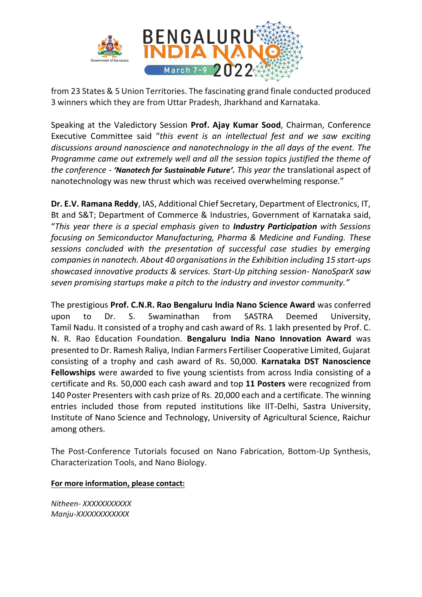

from 23 States & 5 Union Territories. The fascinating grand finale conducted produced 3 winners which they are from Uttar Pradesh, Jharkhand and Karnataka.

Speaking at the Valedictory Session **Prof. Ajay Kumar Sood**, Chairman, Conference Executive Committee said "*this event is an intellectual fest and we saw exciting discussions around nanoscience and nanotechnology in the all days of the event. The Programme came out extremely well and all the session topics justified the theme of the conference - 'Nanotech for Sustainable Future'. This year the* translational aspect of nanotechnology was new thrust which was received overwhelming response."

**Dr. E.V. Ramana Reddy**, IAS, Additional Chief Secretary, Department of Electronics, IT, Bt and S&T; Department of Commerce & Industries, Government of Karnataka said, "*This year there is a special emphasis given to Industry Participation with Sessions focusing on Semiconductor Manufacturing, Pharma & Medicine and Funding. These sessions concluded with the presentation of successful case studies by emerging companies in nanotech. About 40 organisationsin the Exhibition including 15 start-ups showcased innovative products & services. Start-Up pitching session- NanoSparX saw seven promising startups make a pitch to the industry and investor community."*

The prestigious **Prof. C.N.R. Rao Bengaluru India Nano Science Award** was conferred upon to Dr. S. Swaminathan from SASTRA Deemed University, Tamil Nadu. It consisted of a trophy and cash award of Rs. 1 lakh presented by Prof. C. N. R. Rao Education Foundation. **Bengaluru India Nano Innovation Award** was presented to Dr. Ramesh Raliya, Indian Farmers Fertiliser Cooperative Limited, Gujarat consisting of a trophy and cash award of Rs. 50,000. **Karnataka DST Nanoscience Fellowships** were awarded to five young scientists from across India consisting of a certificate and Rs. 50,000 each cash award and top **11 Posters** were recognized from 140 Poster Presenters with cash prize of Rs. 20,000 each and a certificate. The winning entries included those from reputed institutions like IIT-Delhi, Sastra University, Institute of Nano Science and Technology, University of Agricultural Science, Raichur among others.

The Post-Conference Tutorials focused on Nano Fabrication, Bottom-Up Synthesis, Characterization Tools, and Nano Biology.

## **For more information, please contact:**

*Nitheen- XXXXXXXXXXX Manju-XXXXXXXXXXXX*